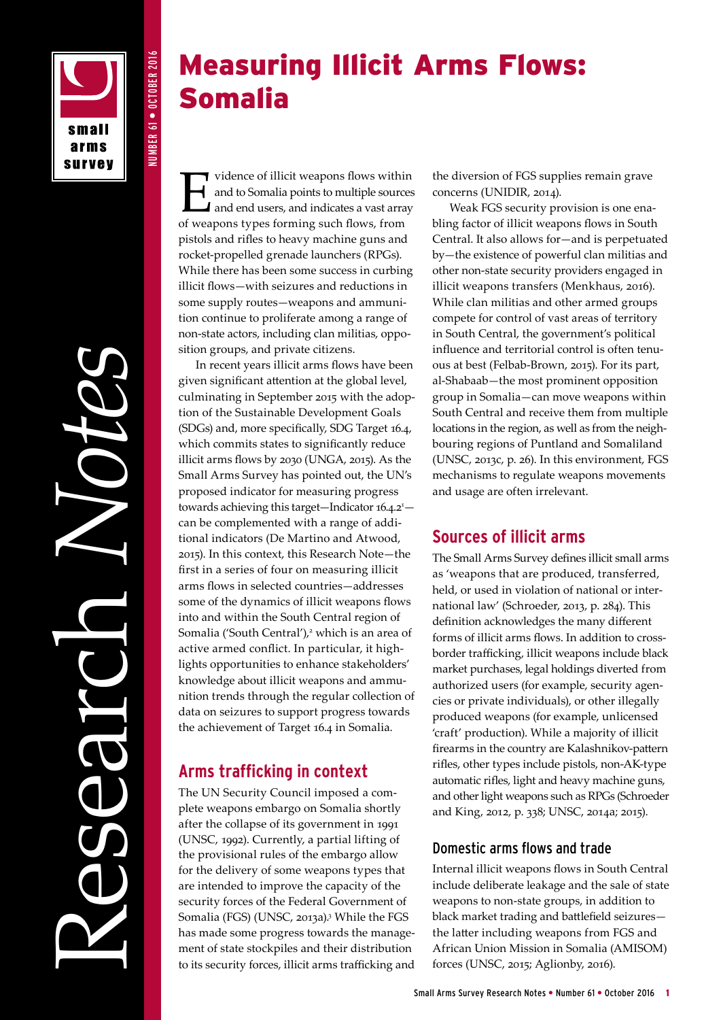

NUMBER 61 • OCTOBER 2016

NUMBER 61 . OCTOBER 2016

Research *Notes*

# Measuring Illicit Arms Flows: Somalia

vidence of illicit weapons flows within<br>and to Somalia points to multiple sources<br>and end users, and indicates a vast array<br>of weapons types forming such flows from and to Somalia points to multiple sources and end users, and indicates a vast array of weapons types forming such flows, from pistols and rifles to heavy machine guns and rocket-propelled grenade launchers (RPGs). While there has been some success in curbing illicit flows—with seizures and reductions in some supply routes—weapons and ammunition continue to proliferate among a range of non-state actors, including clan militias, opposition groups, and private citizens.

In recent years illicit arms flows have been given significant attention at the global level, culminating in September 2015 with the adoption of the Sustainable Development Goals (SDGs) and, more specifically, SDG Target 16.4, which commits states to significantly reduce illicit arms flows by 2030 (UNGA, 2015). As the Small Arms Survey has pointed out, the UN's proposed indicator for measuring progress towards achieving this target-Indicator 16.4.2<sup>1</sup>can be complemented with a range of additional indicators (De Martino and Atwood, 2015). In this context, this Research Note—the first in a series of four on measuring illicit arms flows in selected countries—addresses some of the dynamics of illicit weapons flows into and within the South Central region of Somalia ('South Central'),<sup>2</sup> which is an area of active armed conflict. In particular, it highlights opportunities to enhance stakeholders' knowledge about illicit weapons and ammunition trends through the regular collection of data on seizures to support progress towards the achievement of Target 16.4 in Somalia.

# **Arms trafficking in context**

The UN Security Council imposed a complete weapons embargo on Somalia shortly after the collapse of its government in 1991 (UNSC, 1992). Currently, a partial lifting of the provisional rules of the embargo allow for the delivery of some weapons types that are intended to improve the capacity of the security forces of the Federal Government of Somalia (FGS) (UNSC, 2013a).<sup>3</sup> While the FGS has made some progress towards the management of state stockpiles and their distribution to its security forces, illicit arms trafficking and the diversion of FGS supplies remain grave concerns (UNIDIR, 2014).

Weak FGS security provision is one enabling factor of illicit weapons flows in South Central. It also allows for—and is perpetuated by—the existence of powerful clan militias and other non-state security providers engaged in illicit weapons transfers (Menkhaus, 2016). While clan militias and other armed groups compete for control of vast areas of territory in South Central, the government's political influence and territorial control is often tenuous at best (Felbab-Brown, 2015). For its part, al-Shabaab—the most prominent opposition group in Somalia—can move weapons within South Central and receive them from multiple locations in the region, as well as from the neighbouring regions of Puntland and Somaliland (UNSC, 2013c, p. 26). In this environment, FGS mechanisms to regulate weapons movements and usage are often irrelevant.

# **Sources of illicit arms**

The Small Arms Survey defines illicit small arms as 'weapons that are produced, transferred, held, or used in violation of national or international law' (Schroeder, 2013, p. 284). This definition acknowledges the many different forms of illicit arms flows. In addition to crossborder trafficking, illicit weapons include black market purchases, legal holdings diverted from authorized users (for example, security agencies or private individuals), or other illegally produced weapons (for example, unlicensed 'craft' production). While a majority of illicit firearms in the country are Kalashnikov-pattern rifles, other types include pistols, non-AK-type automatic rifles, light and heavy machine guns, and other light weapons such as RPGs (Schroeder and King, 2012, p. 338; UNSC, 2014a; 2015).

## Domestic arms flows and trade

Internal illicit weapons flows in South Central include deliberate leakage and the sale of state weapons to non-state groups, in addition to black market trading and battlefield seizures the latter including weapons from FGS and African Union Mission in Somalia (AMISOM) forces (UNSC, 2015; Aglionby, 2016).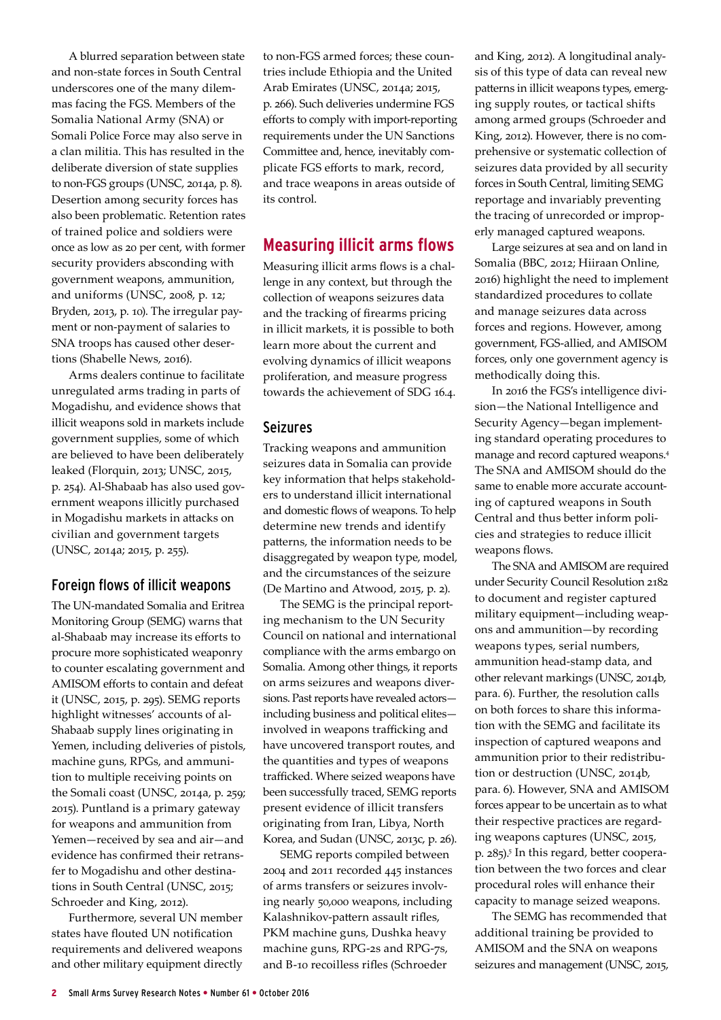A blurred separation between state and non-state forces in South Central underscores one of the many dilemmas facing the FGS. Members of the Somalia National Army (SNA) or Somali Police Force may also serve in a clan militia. This has resulted in the deliberate diversion of state supplies to non-FGS groups (UNSC, 2014a, p. 8). Desertion among security forces has also been problematic. Retention rates of trained police and soldiers were once as low as 20 per cent, with former security providers absconding with government weapons, ammunition, and uniforms (UNSC, 2008, p. 12; Bryden, 2013, p. 10). The irregular payment or non-payment of salaries to SNA troops has caused other desertions (Shabelle News, 2016).

Arms dealers continue to facilitate unregulated arms trading in parts of Mogadishu, and evidence shows that illicit weapons sold in markets include government supplies, some of which are believed to have been deliberately leaked (Florquin, 2013; UNSC, 2015, p. 254). Al-Shabaab has also used government weapons illicitly purchased in Mogadishu markets in attacks on civilian and government targets (UNSC, 2014a; 2015, p. 255).

#### Foreign flows of illicit weapons

The UN-mandated Somalia and Eritrea Monitoring Group (SEMG) warns that al-Shabaab may increase its efforts to procure more sophisticated weaponry to counter escalating government and AMISOM efforts to contain and defeat it (UNSC, 2015, p. 295). SEMG reports highlight witnesses' accounts of al-Shabaab supply lines originating in Yemen, including deliveries of pistols, machine guns, RPGs, and ammunition to multiple receiving points on the Somali coast (UNSC, 2014a, p. 259; 2015). Puntland is a primary gateway for weapons and ammunition from Yemen—received by sea and air—and evidence has confirmed their retransfer to Mogadishu and other destinations in South Central (UNSC, 2015; Schroeder and King, 2012).

Furthermore, several UN member states have flouted UN notification requirements and delivered weapons and other military equipment directly

to non-FGS armed forces; these countries include Ethiopia and the United Arab Emirates (UNSC, 2014a; 2015, p. 266). Such deliveries undermine FGS efforts to comply with import-reporting requirements under the UN Sanctions Committee and, hence, inevitably complicate FGS efforts to mark, record, and trace weapons in areas outside of its control.

## **Measuring illicit arms flows**

Measuring illicit arms flows is a challenge in any context, but through the collection of weapons seizures data and the tracking of firearms pricing in illicit markets, it is possible to both learn more about the current and evolving dynamics of illicit weapons proliferation, and measure progress towards the achievement of SDG 16.4.

#### Seizures

Tracking weapons and ammunition seizures data in Somalia can provide key information that helps stakeholders to understand illicit international and domestic flows of weapons. To help determine new trends and identify patterns, the information needs to be disaggregated by weapon type, model, and the circumstances of the seizure (De Martino and Atwood, 2015, p. 2).

The SEMG is the principal reporting mechanism to the UN Security Council on national and international compliance with the arms embargo on Somalia. Among other things, it reports on arms seizures and weapons diversions. Past reports have revealed actors including business and political elites involved in weapons trafficking and have uncovered transport routes, and the quantities and types of weapons trafficked. Where seized weapons have been successfully traced, SEMG reports present evidence of illicit transfers originating from Iran, Libya, North Korea, and Sudan (UNSC, 2013c, p. 26).

SEMG reports compiled between 2004 and 2011 recorded 445 instances of arms transfers or seizures involving nearly 50,000 weapons, including Kalashnikov-pattern assault rifles, PKM machine guns, Dushka heavy machine guns, RPG-2s and RPG-7s, and B-10 recoilless rifles (Schroeder

and King, 2012). A longitudinal analysis of this type of data can reveal new patterns in illicit weapons types, emerging supply routes, or tactical shifts among armed groups (Schroeder and King, 2012). However, there is no comprehensive or systematic collection of seizures data provided by all security forces in South Central, limiting SEMG reportage and invariably preventing the tracing of unrecorded or improperly managed captured weapons.

Large seizures at sea and on land in Somalia (BBC, 2012; Hiiraan Online, 2016) highlight the need to implement standardized procedures to collate and manage seizures data across forces and regions. However, among government, FGS-allied, and AMISOM forces, only one government agency is methodically doing this.

In 2016 the FGS's intelligence division—the National Intelligence and Security Agency—began implementing standard operating procedures to manage and record captured weapons.4 The SNA and AMISOM should do the same to enable more accurate accounting of captured weapons in South Central and thus better inform policies and strategies to reduce illicit weapons flows.

The SNA and AMISOM are required under Security Council Resolution 2182 to document and register captured military equipment—including weapons and ammunition—by recording weapons types, serial numbers, ammunition head-stamp data, and other relevant markings (UNSC, 2014b, para. 6). Further, the resolution calls on both forces to share this information with the SEMG and facilitate its inspection of captured weapons and ammunition prior to their redistribution or destruction (UNSC, 2014b, para. 6). However, SNA and AMISOM forces appear to be uncertain as to what their respective practices are regarding weapons captures (UNSC, 2015, p. 285).<sup>5</sup> In this regard, better cooperation between the two forces and clear procedural roles will enhance their capacity to manage seized weapons.

The SEMG has recommended that additional training be provided to AMISOM and the SNA on weapons seizures and management (UNSC, 2015,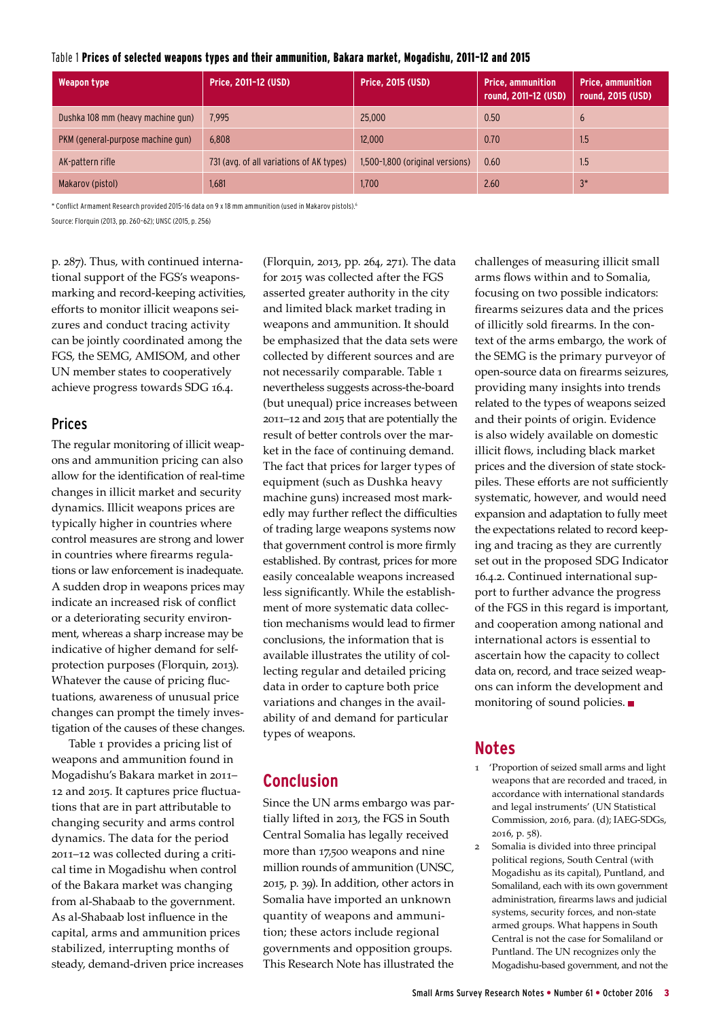| Table 1 Prices of selected weapons types and their ammunition, Bakara market, Mogadishu, 2011-12 and 2015 |  |  |
|-----------------------------------------------------------------------------------------------------------|--|--|
|-----------------------------------------------------------------------------------------------------------|--|--|

| <b>Weapon type</b>                | Price, 2011-12 (USD)                     | <b>Price, 2015 (USD)</b>        | <b>Price, ammunition</b><br>round, 2011-12 (USD) | <b>Price, ammunition</b><br>round, 2015 (USD) |
|-----------------------------------|------------------------------------------|---------------------------------|--------------------------------------------------|-----------------------------------------------|
| Dushka 108 mm (heavy machine gun) | 7.995                                    | 25,000                          | 0.50                                             | $\mathfrak b$                                 |
| PKM (general-purpose machine gun) | 6.808                                    | 12,000                          | 0.70                                             | 1.5                                           |
| AK-pattern rifle                  | 731 (avg. of all variations of AK types) | 1,500-1,800 (original versions) | 0.60                                             | 1.5                                           |
| Makarov (pistol)                  | 1.681                                    | 1.700                           | 2.60                                             | $3*$                                          |

\* Conflict Armament Research provided 2015–16 data on 9 x 18 mm ammunition (used in Makarov pistols).6

Source: Florquin (2013, pp. 260–62); UNSC (2015, p. 256)

p. 287). Thus, with continued international support of the FGS's weaponsmarking and record-keeping activities, efforts to monitor illicit weapons seizures and conduct tracing activity can be jointly coordinated among the FGS, the SEMG, AMISOM, and other UN member states to cooperatively achieve progress towards SDG 16.4.

#### Prices

The regular monitoring of illicit weapons and ammunition pricing can also allow for the identification of real-time changes in illicit market and security dynamics. Illicit weapons prices are typically higher in countries where control measures are strong and lower in countries where firearms regulations or law enforcement is inadequate. A sudden drop in weapons prices may indicate an increased risk of conflict or a deteriorating security environment, whereas a sharp increase may be indicative of higher demand for selfprotection purposes (Florquin, 2013). Whatever the cause of pricing fluctuations, awareness of unusual price changes can prompt the timely investigation of the causes of these changes.

Table 1 provides a pricing list of weapons and ammunition found in Mogadishu's Bakara market in 2011– 12 and 2015. It captures price fluctuations that are in part attributable to changing security and arms control dynamics. The data for the period 2011–12 was collected during a critical time in Mogadishu when control of the Bakara market was changing from al-Shabaab to the government. As al-Shabaab lost influence in the capital, arms and ammunition prices stabilized, interrupting months of steady, demand-driven price increases

(Florquin, 2013, pp. 264, 271). The data for 2015 was collected after the FGS asserted greater authority in the city and limited black market trading in weapons and ammunition. It should be emphasized that the data sets were collected by different sources and are not necessarily comparable. Table 1 nevertheless suggests across-the-board (but unequal) price increases between 2011–12 and 2015 that are potentially the result of better controls over the market in the face of continuing demand. The fact that prices for larger types of equipment (such as Dushka heavy machine guns) increased most markedly may further reflect the difficulties of trading large weapons systems now that government control is more firmly established. By contrast, prices for more easily concealable weapons increased less significantly. While the establishment of more systematic data collection mechanisms would lead to firmer conclusions, the information that is available illustrates the utility of collecting regular and detailed pricing data in order to capture both price variations and changes in the availability of and demand for particular types of weapons.

### **Conclusion**

Since the UN arms embargo was partially lifted in 2013, the FGS in South Central Somalia has legally received more than 17,500 weapons and nine million rounds of ammunition (UNSC, 2015, p. 39). In addition, other actors in Somalia have imported an unknown quantity of weapons and ammunition; these actors include regional governments and opposition groups. This Research Note has illustrated the challenges of measuring illicit small arms flows within and to Somalia, focusing on two possible indicators: firearms seizures data and the prices of illicitly sold firearms. In the context of the arms embargo, the work of the SEMG is the primary purveyor of open-source data on firearms seizures, providing many insights into trends related to the types of weapons seized and their points of origin. Evidence is also widely available on domestic illicit flows, including black market prices and the diversion of state stockpiles. These efforts are not sufficiently systematic, however, and would need expansion and adaptation to fully meet the expectations related to record keeping and tracing as they are currently set out in the proposed SDG Indicator 16.4.2. Continued international support to further advance the progress of the FGS in this regard is important, and cooperation among national and international actors is essential to ascertain how the capacity to collect data on, record, and trace seized weapons can inform the development and monitoring of sound policies. ■

# **Notes**

- 1 'Proportion of seized small arms and light weapons that are recorded and traced, in accordance with international standards and legal instruments' (UN Statistical Commission, 2016, para. (d); IAEG-SDGs, 2016, p. 58).
- 2 Somalia is divided into three principal political regions, South Central (with Mogadishu as its capital), Puntland, and Somaliland, each with its own government administration, firearms laws and judicial systems, security forces, and non-state armed groups. What happens in South Central is not the case for Somaliland or Puntland. The UN recognizes only the Mogadishu-based government, and not the